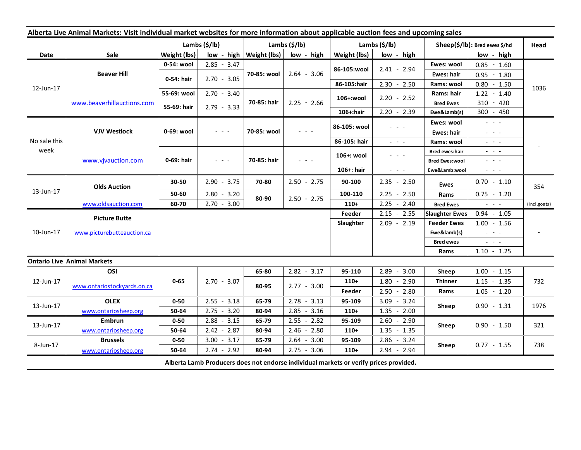| Alberta Live Animal Markets: Visit individual market websites for more information about applicable auction fees and upcoming sales |                                    |                           |                                                                                                                           |                           |               |                           |                                                        |                                  |                                                                                   |              |
|-------------------------------------------------------------------------------------------------------------------------------------|------------------------------------|---------------------------|---------------------------------------------------------------------------------------------------------------------------|---------------------------|---------------|---------------------------|--------------------------------------------------------|----------------------------------|-----------------------------------------------------------------------------------|--------------|
|                                                                                                                                     |                                    | Lambs $(\frac{2}{3})$ lb) |                                                                                                                           | Lambs $(\frac{2}{3})$ lb) |               | Lambs $(\frac{2}{3})$ lb) |                                                        | $Sheep(S/Ib)$ : Bred ewes $$/hd$ |                                                                                   | Head         |
| Date                                                                                                                                | Sale                               | Weight (lbs)              | $low - high$                                                                                                              | Weight (lbs)              | low - high    | Weight (lbs)              | low - high                                             |                                  | low - high                                                                        |              |
| 12-Jun-17                                                                                                                           | <b>Beaver Hill</b>                 | 0-54: wool                | $2.85 - 3.47$                                                                                                             | 70-85: wool               | $2.64 - 3.06$ |                           |                                                        | Ewes: wool                       | $0.85 - 1.60$                                                                     | 1036         |
|                                                                                                                                     |                                    | 0-54: hair                | $2.70 - 3.05$                                                                                                             |                           |               | 86-105:wool               | $2.41 - 2.94$                                          | Ewes: hair                       | $0.95 - 1.80$                                                                     |              |
|                                                                                                                                     |                                    |                           |                                                                                                                           |                           |               | 86-105:hair               | $2.30 - 2.50$                                          | Rams: wool                       | $0.80 - 1.50$                                                                     |              |
|                                                                                                                                     | www.beaverhillauctions.com         | 55-69: wool               | $2.70 - 3.40$                                                                                                             | 70-85: hair               | $2.25 - 2.66$ | 106+:wool                 | $2.20 - 2.52$                                          | Rams: hair                       | $1.22 - 1.40$                                                                     |              |
|                                                                                                                                     |                                    | 55-69: hair               | $2.79 - 3.33$                                                                                                             |                           |               |                           |                                                        | <b>Bred Ewes</b>                 | $310 - 420$                                                                       |              |
|                                                                                                                                     |                                    |                           |                                                                                                                           |                           |               | 106+:hair                 | $2.20 - 2.39$                                          | Ewe&Lamb(s)                      | 300 - 450                                                                         |              |
| No sale this<br>week                                                                                                                | <b>VJV Westlock</b>                | 0-69: wool                | $\frac{1}{2} \left( \frac{1}{2} \right) \left( \frac{1}{2} \right) \left( \frac{1}{2} \right) \left( \frac{1}{2} \right)$ | 70-85: wool               |               | 86-105: wool              |                                                        | Ewes: wool                       | $\mathbb{Z}^2$ and $\mathbb{Z}^2$                                                 |              |
|                                                                                                                                     |                                    |                           |                                                                                                                           |                           |               |                           |                                                        | Ewes: hair                       | $\frac{1}{2} \left( \frac{1}{2} \right) = \frac{1}{2} \left( \frac{1}{2} \right)$ |              |
|                                                                                                                                     |                                    |                           |                                                                                                                           |                           |               | 86-105: hair              | $\omega_{\rm c}$ , $\omega_{\rm c}$ , $\omega_{\rm c}$ | Rams: wool                       | $\mathbf{L} = \mathbf{L} \cdot \mathbf{L}$                                        |              |
|                                                                                                                                     | www.vjvauction.com                 | 0-69: hair                | $  -$                                                                                                                     | 70-85: hair               | $  -$         | 106+: wool                | - - -                                                  | <b>Bred ewes:hair</b>            | $  -$                                                                             |              |
|                                                                                                                                     |                                    |                           |                                                                                                                           |                           |               |                           |                                                        | <b>Bred Ewes:wool</b>            | $  -$                                                                             |              |
|                                                                                                                                     |                                    |                           |                                                                                                                           |                           |               | 106+: hair                | $\omega_{\rm{eff}}$ and $\omega_{\rm{eff}}$            | Ewe&Lamb:wool                    | $  -$                                                                             |              |
| 13-Jun-17                                                                                                                           | <b>Olds Auction</b>                | 30-50                     | $2.90 - 3.75$                                                                                                             | 70-80                     | $2.50 - 2.75$ | 90-100                    | $2.35 - 2.50$                                          | <b>Ewes</b>                      | $0.70 - 1.10$                                                                     | 354          |
|                                                                                                                                     |                                    | 50-60                     | $2.80 - 3.20$                                                                                                             | 80-90                     | $2.50 - 2.75$ | 100-110                   | $2.25 - 2.50$                                          | Rams                             | $0.75 - 1.20$                                                                     |              |
|                                                                                                                                     | www.oldsauction.com                | 60-70                     | $2.70 - 3.00$                                                                                                             |                           |               | $110+$                    | 2.25<br>$-2.40$                                        | <b>Bred Ewes</b>                 | $\omega_{\rm{max}}$                                                               | (incl.goats) |
| 10-Jun-17                                                                                                                           | <b>Picture Butte</b>               |                           |                                                                                                                           |                           |               | Feeder                    | $2.15 - 2.55$                                          | <b>Slaughter Ewes</b>            | $0.94 - 1.05$                                                                     |              |
|                                                                                                                                     | www.picturebutteauction.ca         |                           |                                                                                                                           |                           |               | Slaughter                 | $2.09 - 2.19$                                          | <b>Feeder Ewes</b>               | $1.00 - 1.56$                                                                     |              |
|                                                                                                                                     |                                    |                           |                                                                                                                           |                           |               |                           |                                                        | Ewe&lamb(s)                      | 20202                                                                             |              |
|                                                                                                                                     |                                    |                           |                                                                                                                           |                           |               |                           |                                                        | <b>Bred ewes</b>                 | $\omega_{\rm{eff}}=0.1$                                                           |              |
|                                                                                                                                     |                                    |                           |                                                                                                                           |                           |               |                           |                                                        | Rams                             | $1.10 - 1.25$                                                                     |              |
|                                                                                                                                     | <b>Ontario Live Animal Markets</b> |                           |                                                                                                                           |                           |               |                           |                                                        |                                  |                                                                                   |              |
| 12-Jun-17                                                                                                                           | OSI                                | $0 - 65$                  | $2.70 - 3.07$                                                                                                             | 65-80                     | $2.82 - 3.17$ | 95-110                    | $2.89 - 3.00$                                          | Sheep                            | $1.00 - 1.15$                                                                     |              |
|                                                                                                                                     | www.ontariostockyards.on.ca        |                           |                                                                                                                           | 80-95                     | $2.77 - 3.00$ | $110+$                    | $1.80 - 2.90$                                          | Thinner<br>Rams                  | $1.15 - 1.35$                                                                     | 732          |
|                                                                                                                                     |                                    |                           |                                                                                                                           |                           |               | Feeder                    | $2.50 - 2.80$                                          |                                  | $1.05 - 1.20$                                                                     |              |
| 13-Jun-17                                                                                                                           | <b>OLEX</b>                        | $0 - 50$                  | $2.55 - 3.18$                                                                                                             | 65-79                     | $2.78 - 3.13$ | 95-109                    | $3.09 - 3.24$                                          | Sheep                            | $0.90 - 1.31$                                                                     | 1976         |
|                                                                                                                                     | www.ontariosheep.org               | 50-64                     | $2.75 - 3.20$                                                                                                             | 80-94                     | $2.85 - 3.16$ | $110+$                    | $1.35 - 2.00$                                          |                                  |                                                                                   |              |
| 13-Jun-17                                                                                                                           | <b>Embrun</b>                      | $0 - 50$                  | $2.88 - 3.15$                                                                                                             | 65-79                     | $2.55 - 2.82$ | 95-109                    | $2.60 - 2.90$                                          | Sheep                            | $0.90 - 1.50$                                                                     | 321          |
|                                                                                                                                     | www.ontariosheep.org               | 50-64                     | $2.42 - 2.87$                                                                                                             | 80-94                     | $2.46 - 2.80$ | $110+$                    | $1.35 - 1.35$                                          |                                  |                                                                                   |              |
| 8-Jun-17                                                                                                                            | <b>Brussels</b>                    | $0 - 50$                  | $3.00 - 3.17$                                                                                                             | 65-79                     | $2.64 - 3.00$ | 95-109                    | $2.86 - 3.24$                                          | Sheep                            | $0.77 - 1.55$                                                                     | 738          |
|                                                                                                                                     | www.ontariosheep.org               | 50-64                     | $2.74 - 2.92$                                                                                                             | 80-94                     | $2.75 - 3.06$ | $110+$                    | 2.94 - 2.94                                            |                                  |                                                                                   |              |
| Alberta Lamb Producers does not endorse individual markets or verify prices provided.                                               |                                    |                           |                                                                                                                           |                           |               |                           |                                                        |                                  |                                                                                   |              |